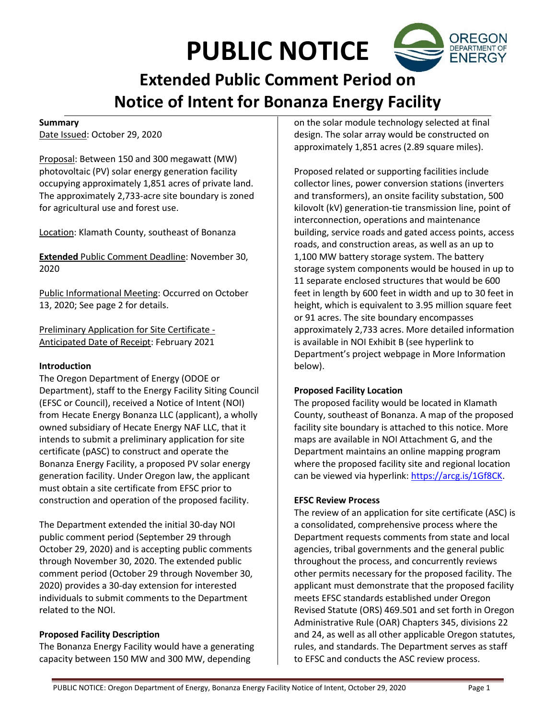# **PUBLIC NOTICE**



## **Summary**

Date Issued: October 29, 2020

Proposal: Between 150 and 300 megawatt (MW) photovoltaic (PV) solar energy generation facility occupying approximately 1,851 acres of private land. The approximately 2,733-acre site boundary is zoned for agricultural use and forest use.

Location: Klamath County, southeast of Bonanza

**Extended** Public Comment Deadline: November 30, 2020

Public Informational Meeting: Occurred on October 13, 2020; See page 2 for details.

Preliminary Application for Site Certificate - Anticipated Date of Receipt: February 2021

### **Introduction**

The Oregon Department of Energy (ODOE or Department), staff to the Energy Facility Siting Council (EFSC or Council), received a Notice of Intent (NOI) from Hecate Energy Bonanza LLC (applicant), a wholly owned subsidiary of Hecate Energy NAF LLC, that it intends to submit a preliminary application for site certificate (pASC) to construct and operate the Bonanza Energy Facility, a proposed PV solar energy generation facility. Under Oregon law, the applicant must obtain a site certificate from EFSC prior to construction and operation of the proposed facility.

The Department extended the initial 30-day NOI public comment period (September 29 through October 29, 2020) and is accepting public comments through November 30, 2020. The extended public comment period (October 29 through November 30, 2020) provides a 30-day extension for interested individuals to submit comments to the Department related to the NOI.

# **Proposed Facility Description**

The Bonanza Energy Facility would have a generating capacity between 150 MW and 300 MW, depending

on the solar module technology selected at final design. The solar array would be constructed on approximately 1,851 acres (2.89 square miles).

Proposed related or supporting facilities include collector lines, power conversion stations (inverters and transformers), an onsite facility substation, 500 kilovolt (kV) generation-tie transmission line, point of interconnection, operations and maintenance building, service roads and gated access points, access roads, and construction areas, as well as an up to 1,100 MW battery storage system. The battery storage system components would be housed in up to 11 separate enclosed structures that would be 600 feet in length by 600 feet in width and up to 30 feet in height, which is equivalent to 3.95 million square feet or 91 acres. The site boundary encompasses approximately 2,733 acres. More detailed information is available in NOI Exhibit B (see hyperlink to Department's project webpage in More Information below).

### **Proposed Facility Location**

The proposed facility would be located in Klamath County, southeast of Bonanza. A map of the proposed facility site boundary is attached to this notice. More maps are available in NOI Attachment G, and the Department maintains an online mapping program where the proposed facility site and regional location can be viewed via hyperlink: https://arcg.is/1Gf8CK.

### **EFSC Review Process**

The review of an application for site certificate (ASC) is a consolidated, comprehensive process where the Department requests comments from state and local agencies, tribal governments and the general public throughout the process, and concurrently reviews other permits necessary for the proposed facility. The applicant must demonstrate that the proposed facility meets EFSC standards established under Oregon Revised Statute (ORS) 469.501 and set forth in Oregon Administrative Rule (OAR) Chapters 345, divisions 22 and 24, as well as all other applicable Oregon statutes, rules, and standards. The Department serves as staff to EFSC and conducts the ASC review process.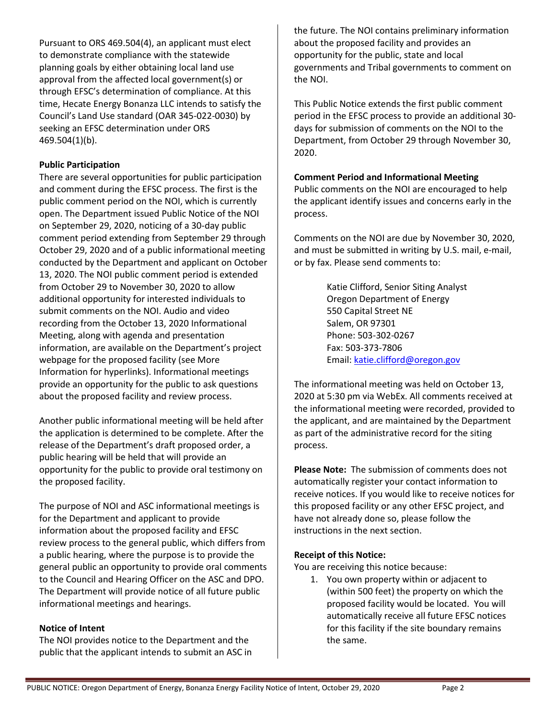Pursuant to ORS 469.504(4), an applicant must elect to demonstrate compliance with the statewide planning goals by either obtaining local land use approval from the affected local government(s) or through EFSC's determination of compliance. At this time, Hecate Energy Bonanza LLC intends to satisfy the Council's Land Use standard (OAR 345-022-0030) by seeking an EFSC determination under ORS 469.504(1)(b).

# **Public Participation**

There are several opportunities for public participation and comment during the EFSC process. The first is the public comment period on the NOI, which is currently open. The Department issued Public Notice of the NOI on September 29, 2020, noticing of a 30-day public comment period extending from September 29 through October 29, 2020 and of a public informational meeting conducted by the Department and applicant on October 13, 2020. The NOI public comment period is extended from October 29 to November 30, 2020 to allow additional opportunity for interested individuals to submit comments on the NOI. Audio and video recording from the October 13, 2020 Informational Meeting, along with agenda and presentation information, are available on the Department's project webpage for the proposed facility (see More Information for hyperlinks). Informational meetings provide an opportunity for the public to ask questions about the proposed facility and review process.

Another public informational meeting will be held after the application is determined to be complete. After the release of the Department's draft proposed order, a public hearing will be held that will provide an opportunity for the public to provide oral testimony on the proposed facility.

The purpose of NOI and ASC informational meetings is for the Department and applicant to provide information about the proposed facility and EFSC review process to the general public, which differs from a public hearing, where the purpose is to provide the general public an opportunity to provide oral comments to the Council and Hearing Officer on the ASC and DPO. The Department will provide notice of all future public informational meetings and hearings.

# **Notice of Intent**

The NOI provides notice to the Department and the public that the applicant intends to submit an ASC in

the future. The NOI contains preliminary information about the proposed facility and provides an opportunity for the public, state and local governments and Tribal governments to comment on the NOI.

This Public Notice extends the first public comment period in the EFSC process to provide an additional 30 days for submission of comments on the NOI to the Department, from October 29 through November 30, 2020.

## **Comment Period and Informational Meeting**

Public comments on the NOI are encouraged to help the applicant identify issues and concerns early in the process.

Comments on the NOI are due by November 30, 2020, and must be submitted in writing by U.S. mail, e-mail, or by fax. Please send comments to:

> Katie Clifford, Senior Siting Analyst Oregon Department of Energy 550 Capital Street NE Salem, OR 97301 Phone: 503-302-0267 Fax: 503-373-7806 Email: katie.clifford@oregon.gov

The informational meeting was held on October 13, 2020 at 5:30 pm via WebEx. All comments received at the informational meeting were recorded, provided to the applicant, and are maintained by the Department as part of the administrative record for the siting process.

**Please Note:** The submission of comments does not automatically register your contact information to receive notices. If you would like to receive notices for this proposed facility or any other EFSC project, and have not already done so, please follow the instructions in the next section.

# **Receipt of this Notice:**

You are receiving this notice because:

1. You own property within or adjacent to (within 500 feet) the property on which the proposed facility would be located. You will automatically receive all future EFSC notices for this facility if the site boundary remains the same.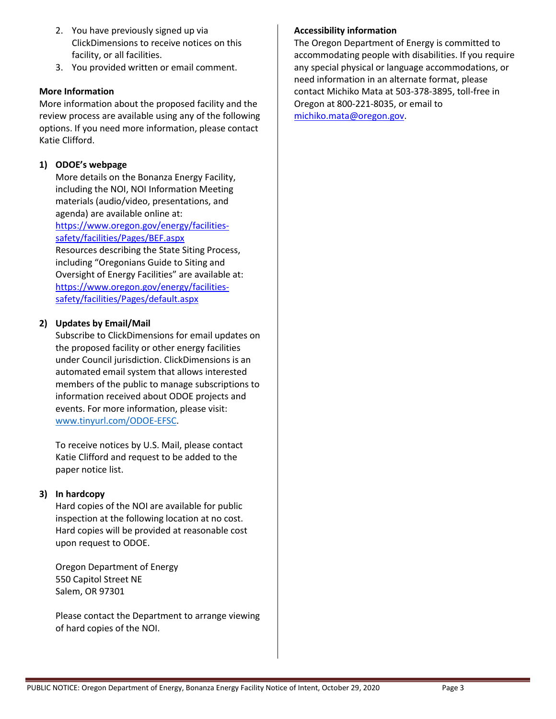- 2. You have previously signed up via ClickDimensions to receive notices on this facility, or all facilities.
- 3. You provided written or email comment.

## **More Information**

More information about the proposed facility and the review process are available using any of the following options. If you need more information, please contact Katie Clifford.

# **1) ODOE's webpage**

More details on the Bonanza Energy Facility, including the NOI, NOI Information Meeting materials (audio/video, presentations, and agenda) are available online at:

https://www.oregon.gov/energy/facilitiessafety/facilities/Pages/BEF.aspx

Resources describing the State Siting Process, including "Oregonians Guide to Siting and Oversight of Energy Facilities" are available at: https://www.oregon.gov/energy/facilitiessafety/facilities/Pages/default.aspx

### **2) Updates by Email/Mail**

Subscribe to ClickDimensions for email updates on the proposed facility or other energy facilities under Council jurisdiction. ClickDimensions is an automated email system that allows interested members of the public to manage subscriptions to information received about ODOE projects and events. For more information, please visit: www.tinyurl.com/ODOE-EFSC.

To receive notices by U.S. Mail, please contact Katie Clifford and request to be added to the paper notice list.

### **3) In hardcopy**

Hard copies of the NOI are available for public inspection at the following location at no cost. Hard copies will be provided at reasonable cost upon request to ODOE.

Oregon Department of Energy 550 Capitol Street NE Salem, OR 97301

Please contact the Department to arrange viewing of hard copies of the NOI.

## **Accessibility information**

The Oregon Department of Energy is committed to accommodating people with disabilities. If you require any special physical or language accommodations, or need information in an alternate format, please contact Michiko Mata at 503-378-3895, toll-free in Oregon at 800-221-8035, or email to michiko.mata@oregon.gov.